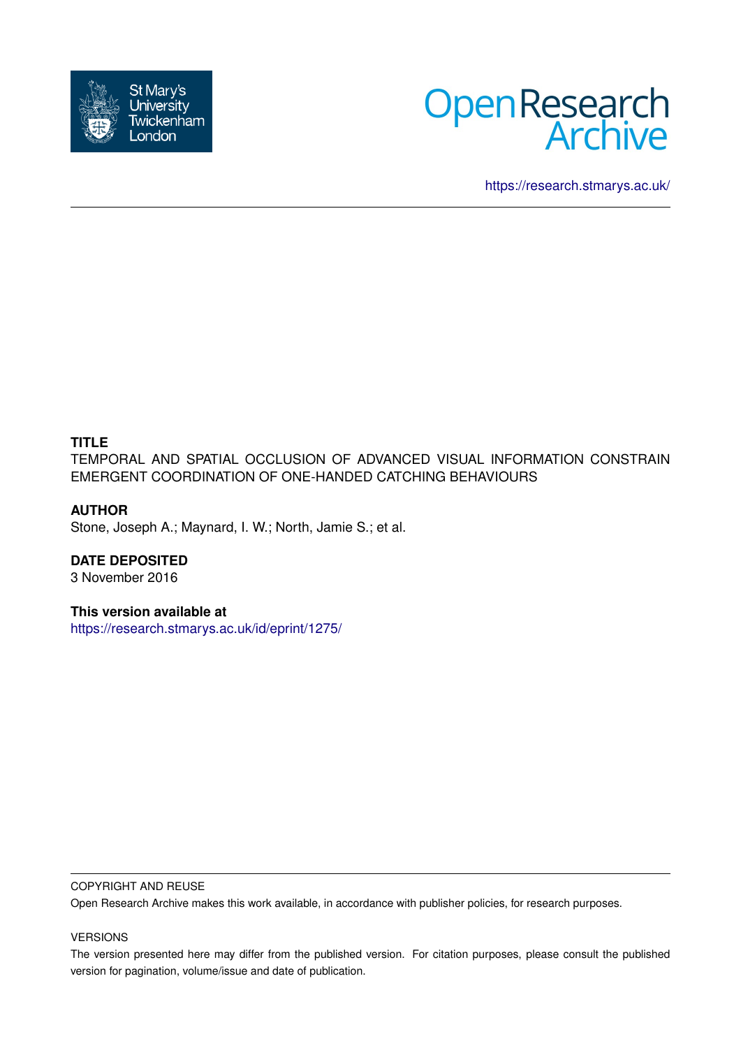



<https://research.stmarys.ac.uk/>

### **TITLE**

TEMPORAL AND SPATIAL OCCLUSION OF ADVANCED VISUAL INFORMATION CONSTRAIN EMERGENT COORDINATION OF ONE-HANDED CATCHING BEHAVIOURS

### **AUTHOR**

Stone, Joseph A.; Maynard, I. W.; North, Jamie S.; et al.

# **DATE DEPOSITED**

3 November 2016

### **This version available at**

<https://research.stmarys.ac.uk/id/eprint/1275/>

#### COPYRIGHT AND REUSE

Open Research Archive makes this work available, in accordance with publisher policies, for research purposes.

#### VERSIONS

The version presented here may differ from the published version. For citation purposes, please consult the published version for pagination, volume/issue and date of publication.